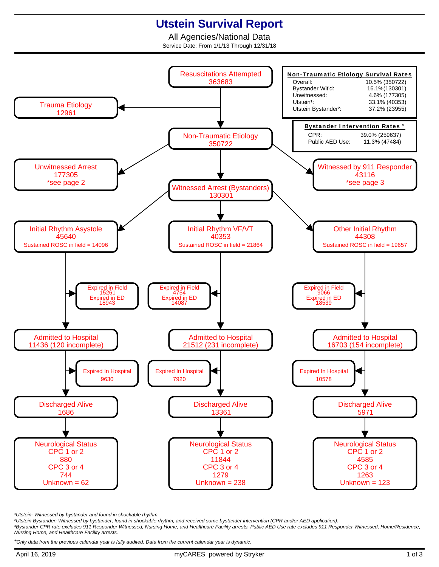## **Utstein Survival Report**

All Agencies/National Data Service Date: From 1/1/13 Through 12/31/18



<sup>1</sup>Utstein: Witnessed by bystander and found in shockable rhythm.

²Utstein Bystander: Witnessed by bystander, found in shockable rhythm, and received some bystander intervention (CPR and/or AED application).

³Bystander CPR rate excludes 911 Responder Witnessed, Nursing Home, and Healthcare Facility arrests. Public AED Use rate excludes 911 Responder Witnessed, Home/Residence, Nursing Home, and Healthcare Facility arrests.

\*Only data from the previous calendar year is fully audited. Data from the current calendar year is dynamic.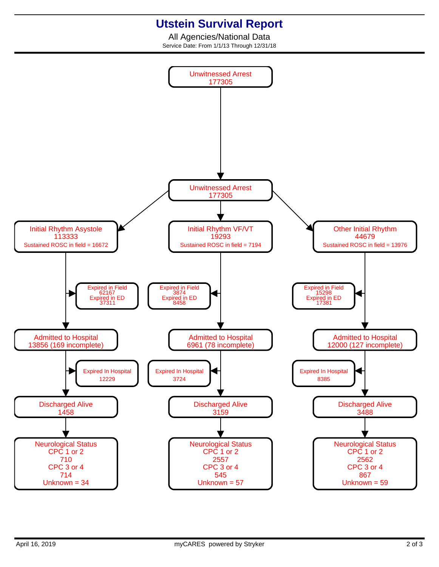## **Utstein Survival Report**

All Agencies/National Data Service Date: From 1/1/13 Through 12/31/18